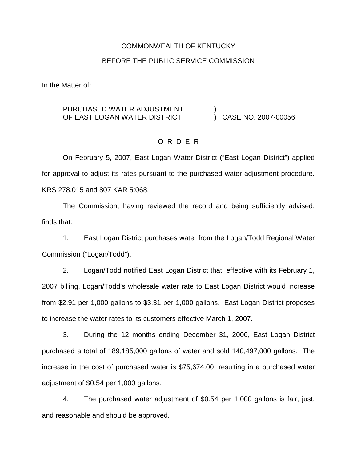#### COMMONWEALTH OF KENTUCKY

#### BEFORE THE PUBLIC SERVICE COMMISSION

In the Matter of:

#### PURCHASED WATER ADJUSTMENT OF EAST LOGAN WATER DISTRICT ) ) CASE NO. 2007-00056

## O R D E R

On February 5, 2007, East Logan Water District ("East Logan District") applied for approval to adjust its rates pursuant to the purchased water adjustment procedure. KRS 278.015 and 807 KAR 5:068.

The Commission, having reviewed the record and being sufficiently advised, finds that:

1. East Logan District purchases water from the Logan/Todd Regional Water Commission ("Logan/Todd").

2. Logan/Todd notified East Logan District that, effective with its February 1, 2007 billing, Logan/Todd's wholesale water rate to East Logan District would increase from \$2.91 per 1,000 gallons to \$3.31 per 1,000 gallons. East Logan District proposes to increase the water rates to its customers effective March 1, 2007.

3. During the 12 months ending December 31, 2006, East Logan District purchased a total of 189,185,000 gallons of water and sold 140,497,000 gallons. The increase in the cost of purchased water is \$75,674.00, resulting in a purchased water adjustment of \$0.54 per 1,000 gallons.

4. The purchased water adjustment of \$0.54 per 1,000 gallons is fair, just, and reasonable and should be approved.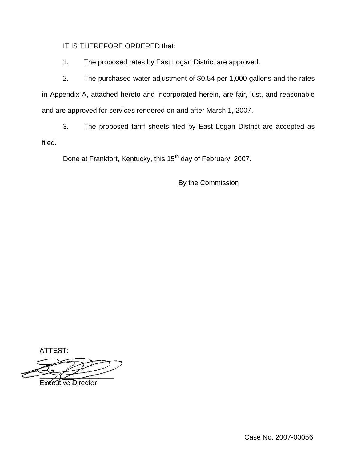IT IS THEREFORE ORDERED that:

1. The proposed rates by East Logan District are approved.

2. The purchased water adjustment of \$0.54 per 1,000 gallons and the rates in Appendix A, attached hereto and incorporated herein, are fair, just, and reasonable and are approved for services rendered on and after March 1, 2007.

3. The proposed tariff sheets filed by East Logan District are accepted as filed.

Done at Frankfort, Kentucky, this 15<sup>th</sup> day of February, 2007.

By the Commission

ATTEST:

**Executive Director** 

Case No. 2007-00056